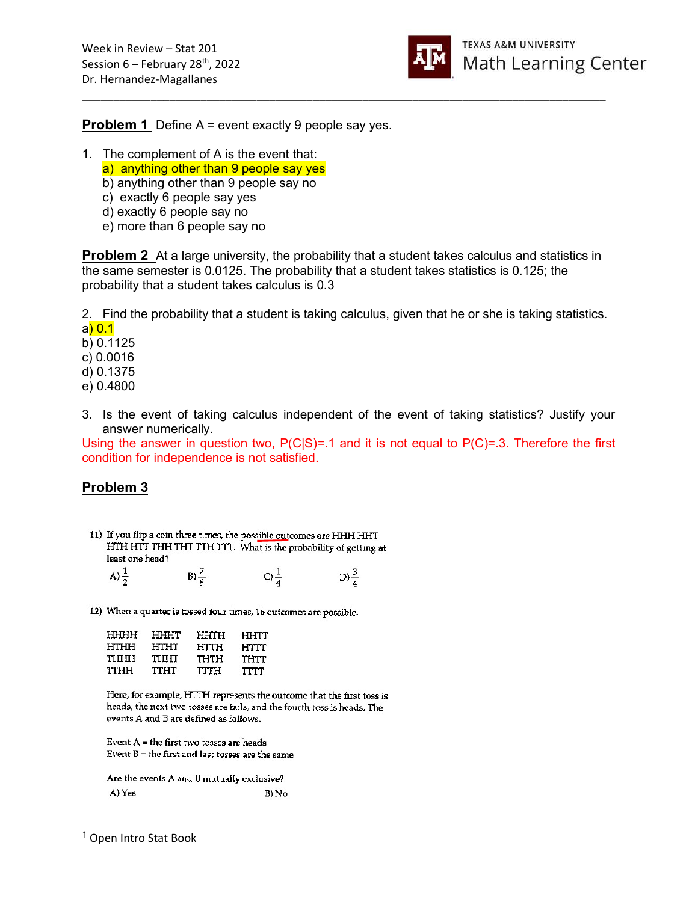

**Problem 1** Define A = event exactly 9 people say yes.

- 1. The complement of A is the event that:
	- a) anything other than 9 people say yes
	- b) anything other than 9 people say no
	- c) exactly 6 people say yes
	- d) exactly 6 people say no
	- e) more than 6 people say no

**Problem 2** At a large university, the probability that a student takes calculus and statistics in the same semester is 0.0125. The probability that a student takes statistics is 0.125; the probability that a student takes calculus is 0.3

\_\_\_\_\_\_\_\_\_\_\_\_\_\_\_\_\_\_\_\_\_\_\_\_\_\_\_\_\_\_\_\_\_\_\_\_\_\_\_\_\_\_\_\_\_\_\_\_\_\_\_\_\_\_\_\_\_\_\_\_\_\_\_\_\_\_\_\_\_\_\_\_\_\_\_\_\_\_\_\_\_\_\_\_

2. Find the probability that a student is taking calculus, given that he or she is taking statistics. a) 0.1

b) 0.1125 c) 0.0016

d) 0.1375

e) 0.4800

3. Is the event of taking calculus independent of the event of taking statistics? Justify your answer numerically.

Using the answer in question two,  $P(C|S)=1$  and it is not equal to  $P(C)=3$ . Therefore the first condition for independence is not satisfied.

# Problem 3

<sup>11)</sup> If you flip a coin three times, the possible outcomes are HHH HHT HTH HTT THH THT TTH TTT. What is the probability of getting at least one head?

| $A)\frac{1}{2}$ | $B)\frac{7}{8}$ | $C\frac{1}{4}$ | D) $\frac{3}{4}$ |
|-----------------|-----------------|----------------|------------------|
|                 |                 |                |                  |

12) When a quarter is tossed four times, 16 outcomes are possible.

| HHHH | HHHT | HHTH | HHTT |
|------|------|------|------|
| нтнн | HTHT | HTTH | HTTT |
| THHH | тнит | THTH | THTT |
| ттнн | TTHT | TTTH | TTTT |

Here, for example, HTTH represents the outcome that the first toss is heads, the next two tosses are tails, and the fourth toss is heads. The events A and B are defined as follows.

Event  $A =$  the first two tosses are heads Event  $B =$  the first and last tosses are the same

Are the events A and B mutually exclusive? A) Yes  $B) No$ 

<sup>1</sup>Open Intro Stat Book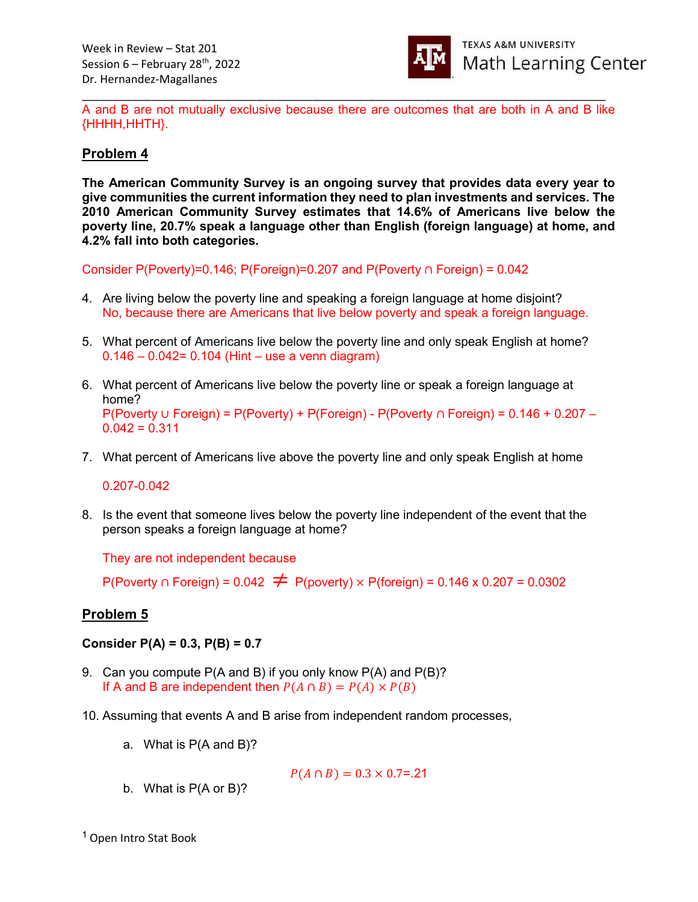

\_\_\_\_\_\_\_\_\_\_\_\_\_\_\_\_\_\_\_\_\_\_\_\_\_\_\_\_\_\_\_\_\_\_\_\_\_\_\_\_\_\_\_\_\_\_\_\_\_\_\_\_\_\_\_\_\_\_\_\_\_\_\_\_\_\_\_\_\_\_\_\_\_\_\_\_\_\_\_\_\_\_\_\_ A and B are not mutually exclusive because there are outcomes that are both in A and B like {HHHH,HHTH}.

## Problem 4

The American Community Survey is an ongoing survey that provides data every year to give communities the current information they need to plan investments and services. The 2010 American Community Survey estimates that 14.6% of Americans live below the poverty line, 20.7% speak a language other than English (foreign language) at home, and 4.2% fall into both categories.

Consider P(Poverty)=0.146; P(Foreign)=0.207 and P(Poverty ∩ Foreign) = 0.042

- 4. Are living below the poverty line and speaking a foreign language at home disjoint? No, because there are Americans that live below poverty and speak a foreign language.
- 5. What percent of Americans live below the poverty line and only speak English at home?  $0.146 - 0.042 = 0.104$  (Hint – use a venn diagram)
- 6. What percent of Americans live below the poverty line or speak a foreign language at home? P(Poverty ∪ Foreign) = P(Poverty) + P(Foreign) - P(Poverty ∩ Foreign) = 0.146 + 0.207 –  $0.042 = 0.311$
- 7. What percent of Americans live above the poverty line and only speak English at home

0.207-0.042

8. Is the event that someone lives below the poverty line independent of the event that the person speaks a foreign language at home?

They are not independent because

P(Poverty ∩ Foreign) =  $0.042 \neq P(poverty) \times P(foreign) = 0.146 \times 0.207 = 0.0302$ 

### Problem 5

Consider  $P(A) = 0.3$ ,  $P(B) = 0.7$ 

- 9. Can you compute P(A and B) if you only know P(A) and P(B)? If A and B are independent then  $P(A \cap B) = P(A) \times P(B)$
- 10. Assuming that events A and B arise from independent random processes,
	- a. What is P(A and B)?

$$
P(A \cap B) = 0.3 \times 0.7 = 21
$$

b. What is P(A or B)?

<sup>1</sup> Open Intro Stat Book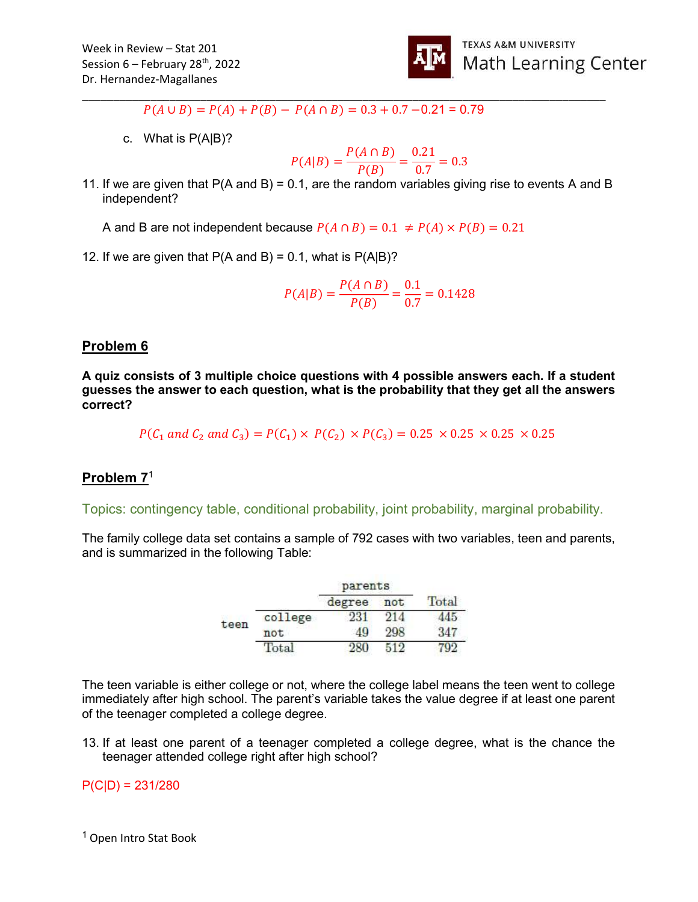

 $P(A \cup B) = P(A) + P(B) - P(A \cap B) = 0.3 + 0.7 - 0.21 = 0.79$ 

c. What is P(A|B)?

$$
P(A|B) = \frac{P(A \cap B)}{P(B)} = \frac{0.21}{0.7} = 0.3
$$

11. If we are given that  $P(A \text{ and } B) = 0.1$ , are the random variables giving rise to events A and B independent?

\_\_\_\_\_\_\_\_\_\_\_\_\_\_\_\_\_\_\_\_\_\_\_\_\_\_\_\_\_\_\_\_\_\_\_\_\_\_\_\_\_\_\_\_\_\_\_\_\_\_\_\_\_\_\_\_\_\_\_\_\_\_\_\_\_\_\_\_\_\_\_\_\_\_\_\_\_\_\_\_\_\_\_\_

A and B are not independent because  $P(A \cap B) = 0.1 \neq P(A) \times P(B) = 0.21$ 

12. If we are given that  $P(A \text{ and } B) = 0.1$ , what is  $P(A|B)$ ?

$$
P(A|B) = \frac{P(A \cap B)}{P(B)} = \frac{0.1}{0.7} = 0.1428
$$

#### Problem 6

A quiz consists of 3 multiple choice questions with 4 possible answers each. If a student guesses the answer to each question, what is the probability that they get all the answers correct?

 $P(C_1 \text{ and } C_2 \text{ and } C_3) = P(C_1) \times P(C_2) \times P(C_3) = 0.25 \times 0.25 \times 0.25 \times 0.25$ 

### Problem 7<sup>1</sup>

Topics: contingency table, conditional probability, joint probability, marginal probability.

The family college data set contains a sample of 792 cases with two variables, teen and parents, and is summarized in the following Table:

|      |                 | parents |     |       |
|------|-----------------|---------|-----|-------|
|      |                 | degree  | not | Total |
| teen | college         |         | 214 |       |
|      | not             | 40      | 298 | 347   |
|      | $_{\rm{Total}}$ |         |     |       |

The teen variable is either college or not, where the college label means the teen went to college immediately after high school. The parent's variable takes the value degree if at least one parent of the teenager completed a college degree.

13. If at least one parent of a teenager completed a college degree, what is the chance the teenager attended college right after high school?

#### $P(C|D) = 231/280$